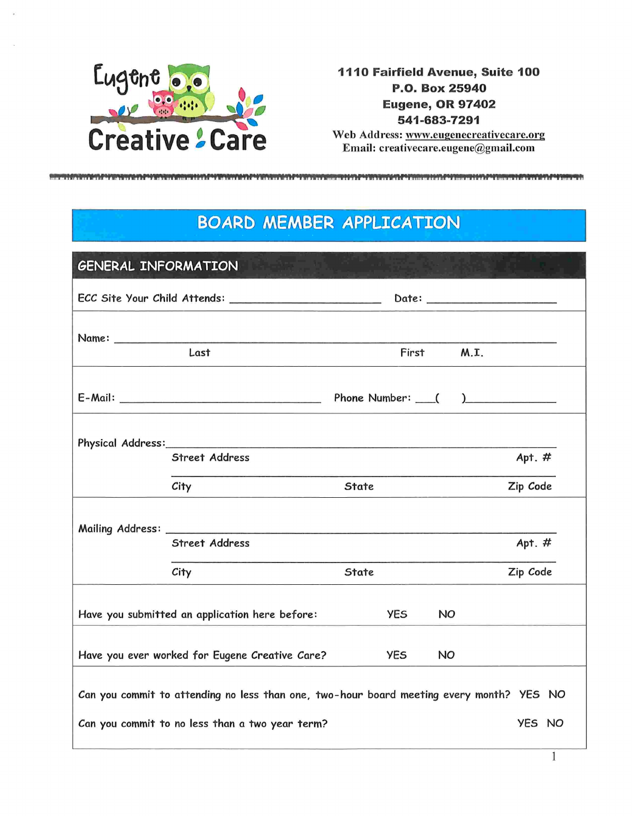

1110 Fairfield Avenue, Suite 100 P.O. Box 25940 **Eugene, OR 97402** 541-683-7291

Web Address: www.eugenecreativecare.org Email: creativecare.eugene@gmail.com

## **BOARD MEMBER APPLICATION**

| <b>GENERAL INFORMATION</b>                                          |                                                                                          |       |      |          |
|---------------------------------------------------------------------|------------------------------------------------------------------------------------------|-------|------|----------|
|                                                                     |                                                                                          |       |      |          |
|                                                                     | Last                                                                                     | First | M.L. |          |
|                                                                     |                                                                                          |       |      |          |
|                                                                     | <b>Street Address</b>                                                                    |       |      | Apt. $#$ |
|                                                                     | City                                                                                     | State |      | Zip Code |
|                                                                     | <b>Street Address</b>                                                                    |       |      | Apt. $#$ |
|                                                                     | City                                                                                     | State |      | Zip Code |
| Have you submitted an application here before:<br><b>YES</b><br>NO. |                                                                                          |       |      |          |
| Have you ever worked for Eugene Creative Care?<br><b>YES</b><br>NO. |                                                                                          |       |      |          |
|                                                                     | Can you commit to attending no less than one, two-hour board meeting every month? YES NO |       |      |          |
| Can you commit to no less than a two year term?                     |                                                                                          |       |      | YES NO   |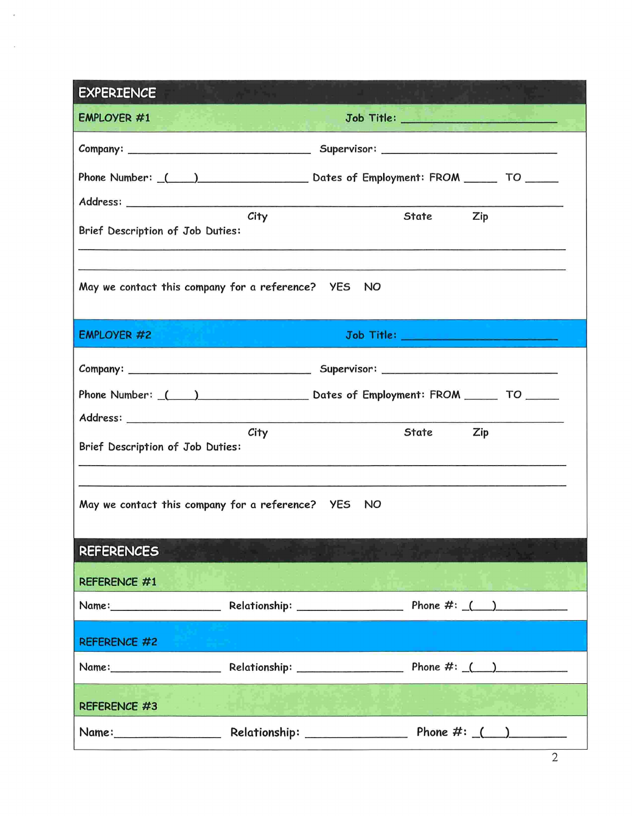| <b>EXPERIENCE</b>                                               |      |  |       |                                       |
|-----------------------------------------------------------------|------|--|-------|---------------------------------------|
| <b>EMPLOYER #1</b>                                              |      |  |       | Job Title: __________________________ |
|                                                                 |      |  |       |                                       |
|                                                                 |      |  |       |                                       |
|                                                                 |      |  |       |                                       |
| Brief Description of Job Duties:                                | City |  | State | Zip                                   |
| May we contact this company for a reference? YES NO             |      |  |       |                                       |
| <b>EMPLOYER #2</b>                                              |      |  |       | Job Title: __________________________ |
|                                                                 |      |  |       |                                       |
| Phone Number: () Channel Dates of Employment: FROM TO COMERCING |      |  |       |                                       |
|                                                                 |      |  |       |                                       |
| Brief Description of Job Duties:                                | City |  | State | Zip                                   |
| May we contact this company for a reference? YES NO             |      |  |       |                                       |
| <b>REFERENCES</b>                                               |      |  |       |                                       |
| <b>REFERENCE #1</b>                                             |      |  |       |                                       |
|                                                                 |      |  |       |                                       |
| <b>REFERENCE #2</b>                                             |      |  |       |                                       |
|                                                                 |      |  |       |                                       |
| <b>REFERENCE #3</b>                                             |      |  |       |                                       |
|                                                                 |      |  |       |                                       |

2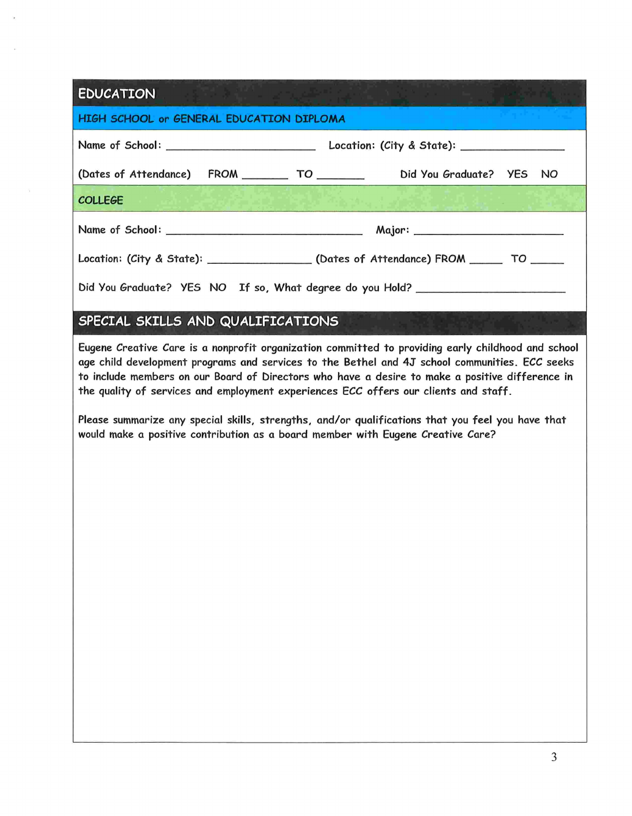## **EDUCATION**

| HIGH SCHOOL or GENERAL EDUCATION DIPLOMA                                               |  |  |  |  |  |
|----------------------------------------------------------------------------------------|--|--|--|--|--|
|                                                                                        |  |  |  |  |  |
| (Dates of Attendance) FROM ________ TO ________ Did You Graduate? YES NO               |  |  |  |  |  |
| <b>COLLEGE</b>                                                                         |  |  |  |  |  |
|                                                                                        |  |  |  |  |  |
| Location: (City & State): __________________(Dates of Attendance) FROM ______ TO _____ |  |  |  |  |  |
| Did You Graduate? YES NO If so, What degree do you Hold? _______________________       |  |  |  |  |  |

## SPECIAL SKILLS AND QUALIFICATIONS

Eugene Creative Care is a nonprofit organization committed to providing early childhood and school age child development programs and services to the Bethel and 41 school communities. ECC seeks to include members on our Board of Directors who have a desire to make a positive difference in the quality of services and employment experiences ECC offers our clients and staff.

Please summarize any special skills, strengths, and/or qualifications that you feel you have that would make a positive contribution as a board member with Eugene Creative Care?